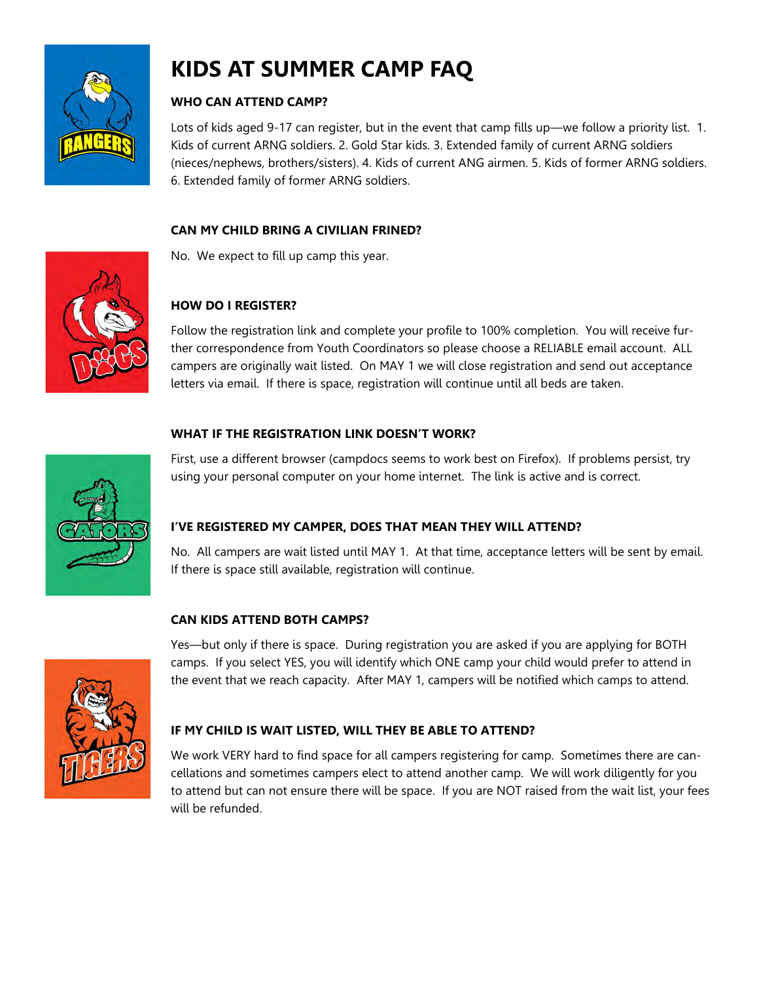

# **KIDS AT SUMMER CAMP FAQ**

## **WHO CAN ATTEND CAMP?**

Lots of kids aged 9-17 can register, but in the event that camp fills up—we follow a priority list. 1. Kids of current ARNG soldiers. 2. Gold Star kids. 3. Extended family of current ARNG soldiers (nieces/nephews, brothers/sisters). 4. Kids of current ANG airmen. 5. Kids of former ARNG soldiers. 6. Extended family of former ARNG soldiers.

## **CAN MY CHILD BRING A CIVILIAN FRINED?**

No. We expect to fill up camp this year.

## **HOW DO I REGISTER?**

Follow the registration link and complete your profile to 100% completion. You will receive further correspondence from Youth Coordinators so please choose a RELIABLE email account. ALL campers are originally wait listed. On MAY 1 we will close registration and send out acceptance letters via email. If there is space, registration will continue until all beds are taken.

## **WHAT IF THE REGISTRATION LINK DOESN'T WORK?**



First, use a different browser (campdocs seems to work best on Firefox). If problems persist, try using your personal computer on your home internet. The link is active and is correct.

## **I'VE REGISTERED MY CAMPER, DOES THAT MEAN THEY WILL ATTEND?**

No. All campers are wait listed until MAY 1. At that time, acceptance letters will be sent by email. If there is space still available, registration will continue.

## **CAN KIDS ATTEND BOTH CAMPS?**



Yes—but only if there is space. During registration you are asked if you are applying for BOTH camps. If you select YES, you will identify which ONE camp your child would prefer to attend in the event that we reach capacity. After MAY 1, campers will be notified which camps to attend.

## **IF MY CHILD IS WAIT LISTED, WILL THEY BE ABLE TO ATTEND?**

We work VERY hard to find space for all campers registering for camp. Sometimes there are cancellations and sometimes campers elect to attend another camp. We will work diligently for you to attend but can not ensure there will be space. If you are NOT raised from the wait list, your fees will be refunded.